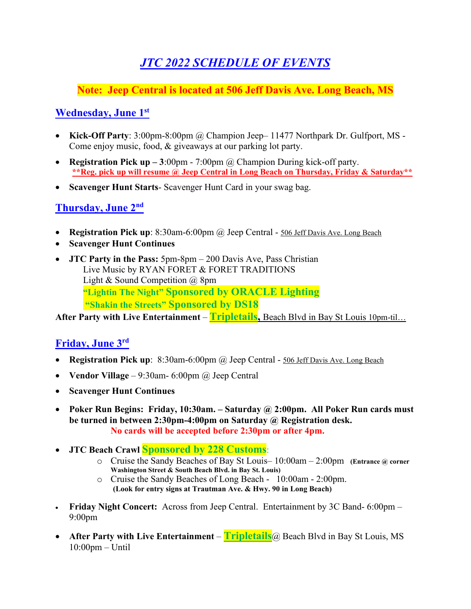# *JTC 2022 SCHEDULE OF EVENTS*

# **Note: Jeep Central is located at 506 Jeff Davis Ave. Long Beach, MS**

# **Wednesday, June 1st**

- **Kick-Off Party**: 3:00pm-8:00pm @ Champion Jeep– 11477 Northpark Dr. Gulfport, MS Come enjoy music, food, & giveaways at our parking lot party.
- **Registration Pick up** 3:00pm 7:00pm @ Champion During kick-off party. **\*\*Reg. pick up will resume @ Jeep Central in Long Beach on Thursday, Friday & Saturday\*\***
- **Scavenger Hunt Starts** Scavenger Hunt Card in your swag bag.

#### **Thursday, June 2nd**

- **Registration Pick up**: 8:30am-6:00pm @ Jeep Central 506 Jeff Davis Ave. Long Beach
- **Scavenger Hunt Continues**
- **JTC Party in the Pass:** 5pm-8pm 200 Davis Ave, Pass Christian Live Music by RYAN FORET & FORET TRADITIONS Light & Sound Competition @ 8pm **"Lightin The Night" Sponsored by ORACLE Lighting "Shakin the Streets" Sponsored by DS18**

**After Party with Live Entertainment** – **Tripletails,** Beach Blvd in Bay St Louis 10pm-til…

### **Friday, June 3rd**

- **Registration Pick up**: 8:30am-6:00pm @ Jeep Central 506 Jeff Davis Ave. Long Beach
- **Vendor Village** 9:30am- 6:00pm @ Jeep Central
- **Scavenger Hunt Continues**
- **Poker Run Begins: Friday, 10:30am. – Saturday @ 2:00pm. All Poker Run cards must be turned in between 2:30pm-4:00pm on Saturday @ Registration desk. No cards will be accepted before 2:30pm or after 4pm.**
- **JTC Beach Crawl Sponsored by 228 Customs**:
	- o Cruise the Sandy Beaches of Bay St Louis– 10:00am 2:00pm **(Entrance @ corner Washington Street & South Beach Blvd. in Bay St. Louis)**
	- o Cruise the Sandy Beaches of Long Beach 10:00am 2:00pm.  **(Look for entry signs at Trautman Ave. & Hwy. 90 in Long Beach)**
- **Friday Night Concert:** Across from Jeep Central. Entertainment by 3C Band- 6:00pm 9:00pm
- **After Party with Live Entertainment Tripletails**@ Beach Blvd in Bay St Louis, MS 10:00pm – Until